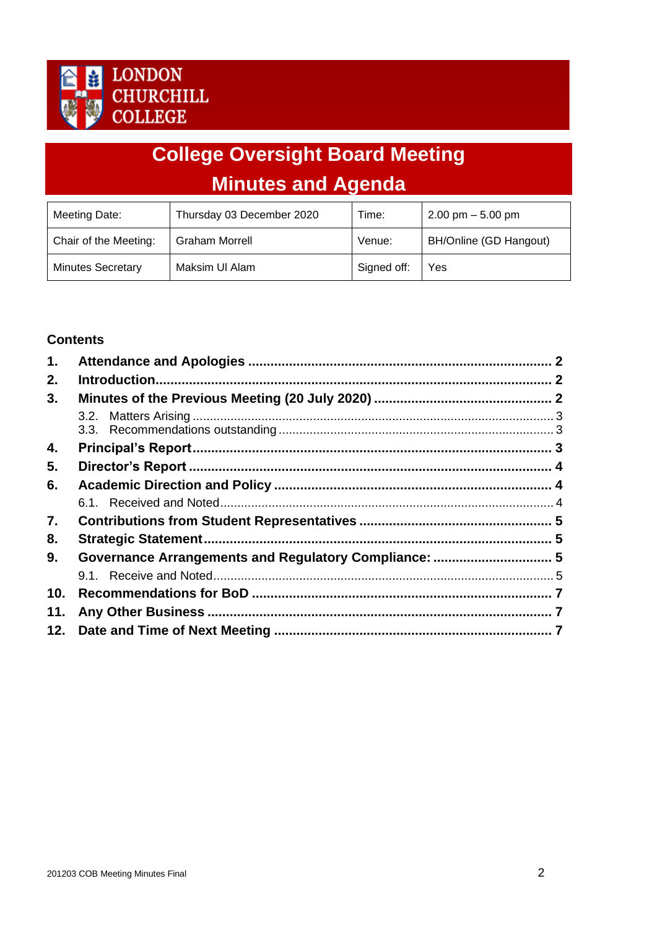

# **College Oversight Board Meeting Minutes and Agenda**

| Meeting Date:            | Thursday 03 December 2020 | Time:       | $2.00$ pm $-5.00$ pm   |
|--------------------------|---------------------------|-------------|------------------------|
| Chair of the Meeting:    | <b>Graham Morrell</b>     | Venue:      | BH/Online (GD Hangout) |
| <b>Minutes Secretary</b> | Maksim UI Alam            | Signed off: | Yes                    |

## **Contents**

| 1.  |                             | $\mathbf{p}$ |
|-----|-----------------------------|--------------|
| 2.  |                             |              |
| 3.  |                             |              |
|     |                             |              |
|     |                             |              |
| 4.  |                             |              |
| 5.  |                             |              |
| 6.  |                             |              |
|     |                             |              |
| 7.  |                             |              |
| 8.  | <b>Strategic Statement.</b> |              |
| 9.  |                             |              |
|     |                             |              |
| 10. |                             |              |
| 11. |                             |              |
| 12. |                             |              |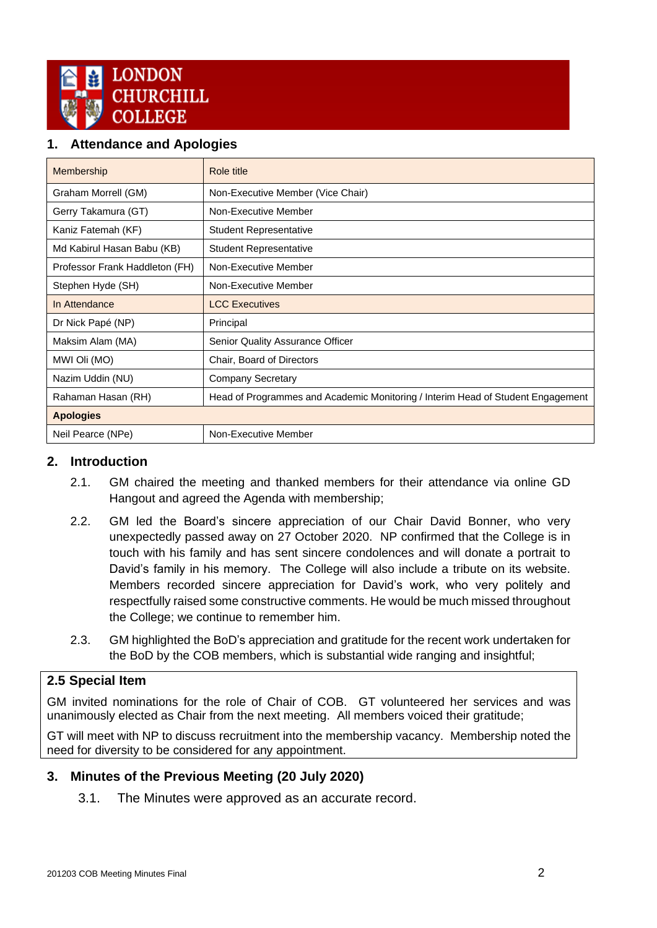

## <span id="page-1-0"></span>**1. Attendance and Apologies**

| Membership                     | Role title                                                                      |
|--------------------------------|---------------------------------------------------------------------------------|
| Graham Morrell (GM)            | Non-Executive Member (Vice Chair)                                               |
| Gerry Takamura (GT)            | Non-Executive Member                                                            |
| Kaniz Fatemah (KF)             | <b>Student Representative</b>                                                   |
| Md Kabirul Hasan Babu (KB)     | <b>Student Representative</b>                                                   |
| Professor Frank Haddleton (FH) | Non-Executive Member                                                            |
| Stephen Hyde (SH)              | Non-Executive Member                                                            |
| In Attendance                  | <b>LCC Executives</b>                                                           |
| Dr Nick Papé (NP)              | Principal                                                                       |
| Maksim Alam (MA)               | Senior Quality Assurance Officer                                                |
| MWI Oli (MO)                   | Chair, Board of Directors                                                       |
| Nazim Uddin (NU)               | <b>Company Secretary</b>                                                        |
| Rahaman Hasan (RH)             | Head of Programmes and Academic Monitoring / Interim Head of Student Engagement |
| <b>Apologies</b>               |                                                                                 |
| Neil Pearce (NPe)              | Non-Executive Member                                                            |

#### <span id="page-1-1"></span>**2. Introduction**

- 2.1. GM chaired the meeting and thanked members for their attendance via online GD Hangout and agreed the Agenda with membership;
- 2.2. GM led the Board's sincere appreciation of our Chair David Bonner, who very unexpectedly passed away on 27 October 2020. NP confirmed that the College is in touch with his family and has sent sincere condolences and will donate a portrait to David's family in his memory. The College will also include a tribute on its website. Members recorded sincere appreciation for David's work, who very politely and respectfully raised some constructive comments. He would be much missed throughout the College; we continue to remember him.
- 2.3. GM highlighted the BoD's appreciation and gratitude for the recent work undertaken for the BoD by the COB members, which is substantial wide ranging and insightful;

## **2.5 Special Item**

GM invited nominations for the role of Chair of COB. GT volunteered her services and was unanimously elected as Chair from the next meeting. All members voiced their gratitude;

GT will meet with NP to discuss recruitment into the membership vacancy. Membership noted the need for diversity to be considered for any appointment.

#### <span id="page-1-2"></span>**3. Minutes of the Previous Meeting (20 July 2020)**

<span id="page-1-3"></span>3.1. The Minutes were approved as an accurate record.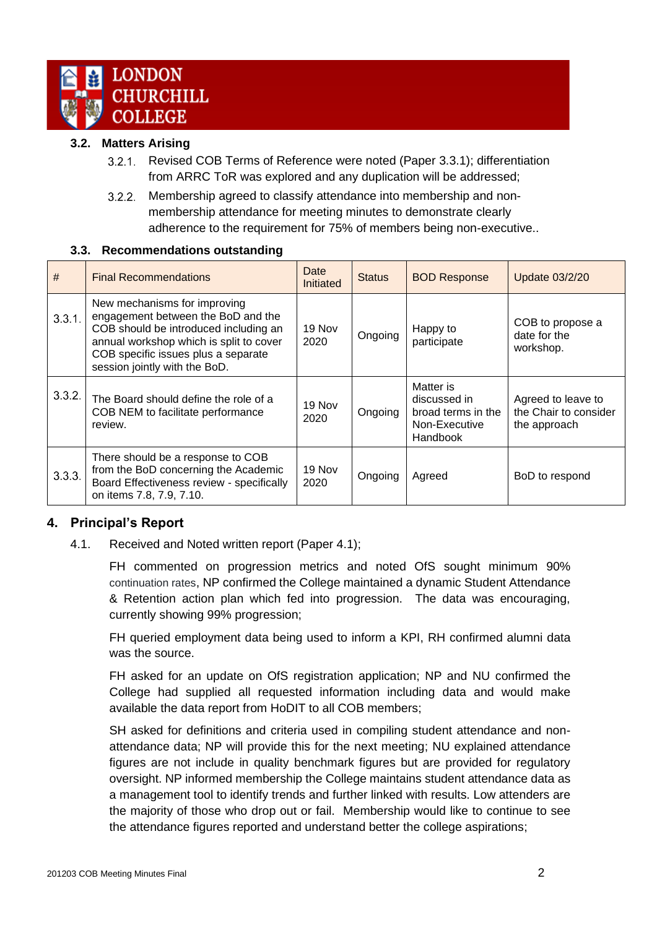

#### **3.2. Matters Arising**

- $3.2.1$ Revised COB Terms of Reference were noted (Paper 3.3.1); differentiation from ARRC ToR was explored and any duplication will be addressed;
- Membership agreed to classify attendance into membership and non- $3.2.2.$ membership attendance for meeting minutes to demonstrate clearly adherence to the requirement for 75% of members being non-executive..

#### **3.3. Recommendations outstanding**

<span id="page-2-0"></span>

| #      | <b>Final Recommendations</b>                                                                                                                                                                                                   | Date<br><b>Initiated</b> | <b>Status</b> | <b>BOD Response</b>                                                          | <b>Update 03/2/20</b>                                       |
|--------|--------------------------------------------------------------------------------------------------------------------------------------------------------------------------------------------------------------------------------|--------------------------|---------------|------------------------------------------------------------------------------|-------------------------------------------------------------|
| 3.3.1. | New mechanisms for improving<br>engagement between the BoD and the<br>COB should be introduced including an<br>annual workshop which is split to cover<br>COB specific issues plus a separate<br>session jointly with the BoD. | 19 Nov<br>2020           | Ongoing       | Happy to<br>participate                                                      | COB to propose a<br>date for the<br>workshop.               |
| 3.3.2. | The Board should define the role of a<br>COB NEM to facilitate performance<br>review.                                                                                                                                          | 19 Nov<br>2020           | Ongoing       | Matter is<br>discussed in<br>broad terms in the<br>Non-Executive<br>Handbook | Agreed to leave to<br>the Chair to consider<br>the approach |
| 3.3.3. | There should be a response to COB<br>from the BoD concerning the Academic<br>Board Effectiveness review - specifically<br>on items 7.8, 7.9, 7.10.                                                                             | 19 Nov<br>2020           | Ongoing       | Agreed                                                                       | BoD to respond                                              |

#### <span id="page-2-1"></span>**4. Principal's Report**

4.1. Received and Noted written report (Paper 4.1);

FH commented on progression metrics and noted OfS sought minimum 90% continuation rates, NP confirmed the College maintained a dynamic Student Attendance & Retention action plan which fed into progression. The data was encouraging, currently showing 99% progression;

FH queried employment data being used to inform a KPI, RH confirmed alumni data was the source.

FH asked for an update on OfS registration application; NP and NU confirmed the College had supplied all requested information including data and would make available the data report from HoDIT to all COB members;

SH asked for definitions and criteria used in compiling student attendance and nonattendance data; NP will provide this for the next meeting; NU explained attendance figures are not include in quality benchmark figures but are provided for regulatory oversight. NP informed membership the College maintains student attendance data as a management tool to identify trends and further linked with results. Low attenders are the majority of those who drop out or fail. Membership would like to continue to see the attendance figures reported and understand better the college aspirations;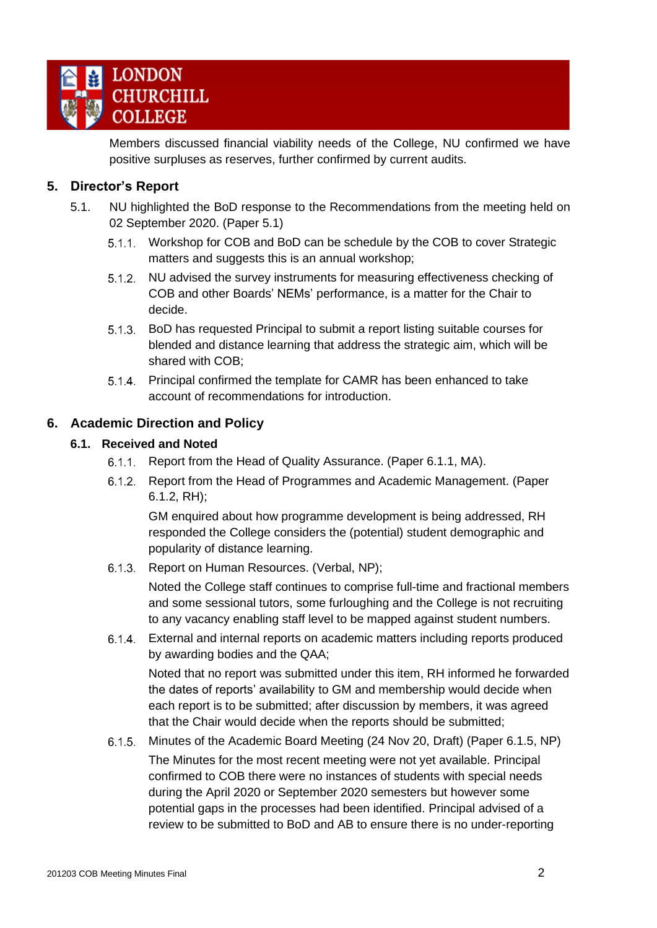

Members discussed financial viability needs of the College, NU confirmed we have positive surpluses as reserves, further confirmed by current audits.

## <span id="page-3-0"></span>**5. Director's Report**

- 5.1. NU highlighted the BoD response to the Recommendations from the meeting held on 02 September 2020. (Paper 5.1)
	- Workshop for COB and BoD can be schedule by the COB to cover Strategic matters and suggests this is an annual workshop;
	- $5.1.2.$ NU advised the survey instruments for measuring effectiveness checking of COB and other Boards' NEMs' performance, is a matter for the Chair to decide.
	- BoD has requested Principal to submit a report listing suitable courses for blended and distance learning that address the strategic aim, which will be shared with COB;
	- 5.1.4. Principal confirmed the template for CAMR has been enhanced to take account of recommendations for introduction.

#### <span id="page-3-2"></span><span id="page-3-1"></span>**6. Academic Direction and Policy**

#### **6.1. Received and Noted**

- 6.1.1. Report from the Head of Quality Assurance. (Paper 6.1.1, MA).
- $6.1.2.$ Report from the Head of Programmes and Academic Management. (Paper 6.1.2, RH);

GM enquired about how programme development is being addressed, RH responded the College considers the (potential) student demographic and popularity of distance learning.

6.1.3. Report on Human Resources. (Verbal, NP);

Noted the College staff continues to comprise full-time and fractional members and some sessional tutors, some furloughing and the College is not recruiting to any vacancy enabling staff level to be mapped against student numbers.

External and internal reports on academic matters including reports produced by awarding bodies and the QAA; Noted that no report was submitted under this item, RH informed he forwarded

the dates of reports' availability to GM and membership would decide when each report is to be submitted; after discussion by members, it was agreed that the Chair would decide when the reports should be submitted;

Minutes of the Academic Board Meeting (24 Nov 20, Draft) (Paper 6.1.5, NP)  $6.1.5.$ The Minutes for the most recent meeting were not yet available. Principal confirmed to COB there were no instances of students with special needs during the April 2020 or September 2020 semesters but however some potential gaps in the processes had been identified. Principal advised of a review to be submitted to BoD and AB to ensure there is no under-reporting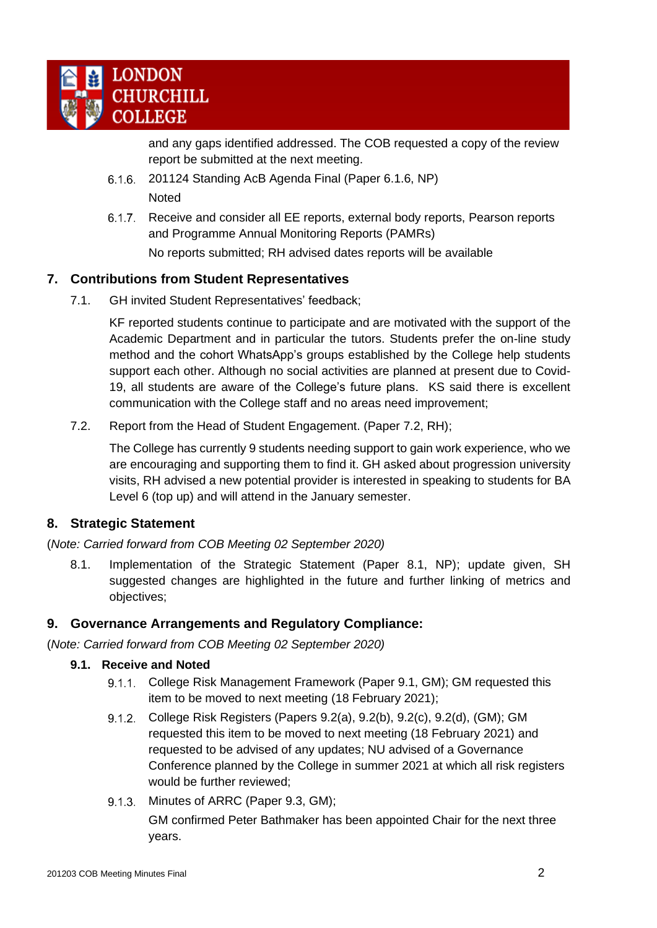

and any gaps identified addressed. The COB requested a copy of the review report be submitted at the next meeting.

- $6.1.6$ . 201124 Standing AcB Agenda Final (Paper 6.1.6, NP) Noted
- 6.1.7. Receive and consider all EE reports, external body reports, Pearson reports and Programme Annual Monitoring Reports (PAMRs) No reports submitted; RH advised dates reports will be available

## <span id="page-4-0"></span>**7. Contributions from Student Representatives**

7.1. GH invited Student Representatives' feedback;

KF reported students continue to participate and are motivated with the support of the Academic Department and in particular the tutors. Students prefer the on-line study method and the cohort WhatsApp's groups established by the College help students support each other. Although no social activities are planned at present due to Covid-19, all students are aware of the College's future plans. KS said there is excellent communication with the College staff and no areas need improvement;

7.2. Report from the Head of Student Engagement. (Paper 7.2, RH);

The College has currently 9 students needing support to gain work experience, who we are encouraging and supporting them to find it. GH asked about progression university visits, RH advised a new potential provider is interested in speaking to students for BA Level 6 (top up) and will attend in the January semester.

#### <span id="page-4-1"></span>**8. Strategic Statement**

(*Note: Carried forward from COB Meeting 02 September 2020)*

8.1. Implementation of the Strategic Statement (Paper 8.1, NP); update given, SH suggested changes are highlighted in the future and further linking of metrics and objectives;

#### <span id="page-4-2"></span>**9. Governance Arrangements and Regulatory Compliance:**

<span id="page-4-3"></span>(*Note: Carried forward from COB Meeting 02 September 2020)*

#### **9.1. Receive and Noted**

- 9.1.1. College Risk Management Framework (Paper 9.1, GM); GM requested this item to be moved to next meeting (18 February 2021);
- $9.1.2.$ College Risk Registers (Papers 9.2(a), 9.2(b), 9.2(c), 9.2(d), (GM); GM requested this item to be moved to next meeting (18 February 2021) and requested to be advised of any updates; NU advised of a Governance Conference planned by the College in summer 2021 at which all risk registers would be further reviewed;
- 9.1.3. Minutes of ARRC (Paper 9.3, GM);

GM confirmed Peter Bathmaker has been appointed Chair for the next three years.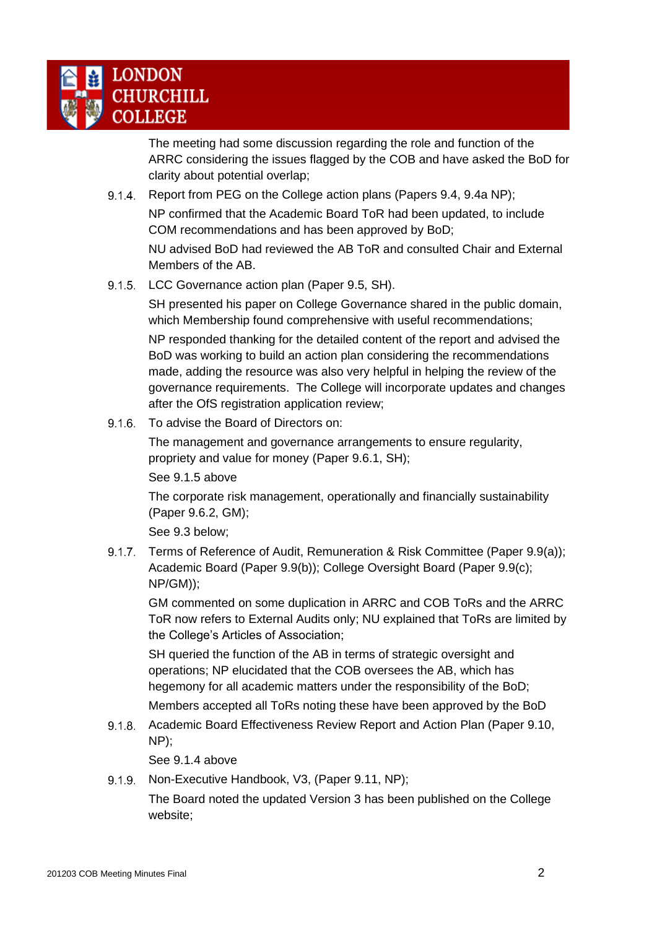

The meeting had some discussion regarding the role and function of the ARRC considering the issues flagged by the COB and have asked the BoD for clarity about potential overlap;

- $9.1.4.$ Report from PEG on the College action plans (Papers 9.4, 9.4a NP); NP confirmed that the Academic Board ToR had been updated, to include COM recommendations and has been approved by BoD; NU advised BoD had reviewed the AB ToR and consulted Chair and External Members of the AB.
- 9.1.5. LCC Governance action plan (Paper 9.5, SH).

SH presented his paper on College Governance shared in the public domain, which Membership found comprehensive with useful recommendations;

NP responded thanking for the detailed content of the report and advised the BoD was working to build an action plan considering the recommendations made, adding the resource was also very helpful in helping the review of the governance requirements. The College will incorporate updates and changes after the OfS registration application review;

 $9.1.6.$ To advise the Board of Directors on:

> The management and governance arrangements to ensure regularity, propriety and value for money (Paper 9.6.1, SH);

See 9.1.5 above

The corporate risk management, operationally and financially sustainability (Paper 9.6.2, GM);

See 9.3 below;

9.1.7. Terms of Reference of Audit, Remuneration & Risk Committee (Paper 9.9(a)); Academic Board (Paper 9.9(b)); College Oversight Board (Paper 9.9(c); NP/GM));

GM commented on some duplication in ARRC and COB ToRs and the ARRC ToR now refers to External Audits only; NU explained that ToRs are limited by the College's Articles of Association;

SH queried the function of the AB in terms of strategic oversight and operations; NP elucidated that the COB oversees the AB, which has hegemony for all academic matters under the responsibility of the BoD;

Members accepted all ToRs noting these have been approved by the BoD

9.1.8. Academic Board Effectiveness Review Report and Action Plan (Paper 9.10, NP);

See 9.1.4 above

 $9.1.9.$ Non-Executive Handbook, V3, (Paper 9.11, NP);

> The Board noted the updated Version 3 has been published on the College website;